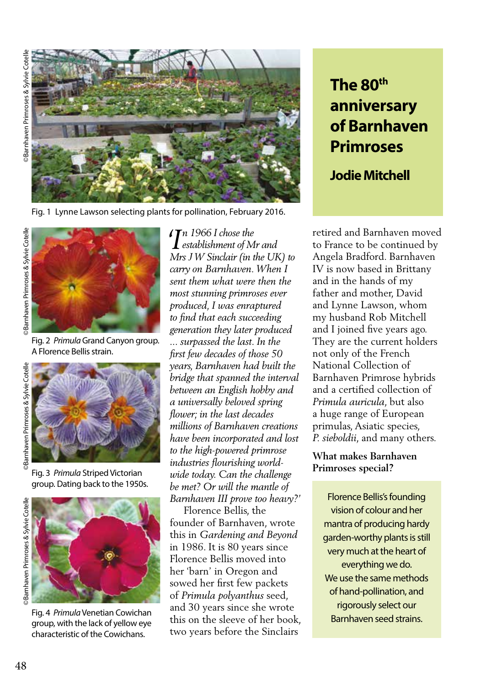

Fig. 1 Lynne Lawson selecting plants for pollination, February 2016.





Fig. 2 *Primula* Grand Canyon group. A Florence Bellis strain.



Fig. 3 *Primula* Striped Victorian group. Dating back to the 1950s.



Fig. 4 *Primula* Venetian Cowichan group, with the lack of yellow eye characteristic of the Cowichans.

*n 1966 I chose the 'I establishment of Mr and Mrs J W Sinclair (in the UK) to carry on Barnhaven. When I sent them what were then the most stunning primroses ever produced, I was enraptured to find that each succeeding generation they later produced ... surpassed the last. In the first few decades of those 50 years, Barnhaven had built the bridge that spanned the interval between an English hobby and a universally beloved spring flower; in the last decades millions of Barnhaven creations have been incorporated and lost to the high-powered primrose industries flourishing worldwide today. Can the challenge be met? Or will the mantle of Barnhaven III prove too heavy?'*

 Florence Bellis, the founder of Barnhaven, wrote this in *Gardening and Beyond* in 1986. It is 80 years since Florence Bellis moved into her 'barn' in Oregon and sowed her first few packets of *Primula polyanthus* seed, and 30 years since she wrote this on the sleeve of her book, two years before the Sinclairs

# **The 80th anniversary of Barnhaven Primroses**

**Jodie Mitchell**

retired and Barnhaven moved to France to be continued by Angela Bradford. Barnhaven IV is now based in Brittany and in the hands of my father and mother, David and Lynne Lawson, whom my husband Rob Mitchell and I joined five years ago. They are the current holders not only of the French National Collection of Barnhaven Primrose hybrids and a certified collection of *Primula auricula*, but also a huge range of European primulas, Asiatic species, *P. sieboldii*, and many others.

## **What makes Barnhaven Primroses special?**

Florence Bellis's founding vision of colour and her mantra of producing hardy garden-worthy plants is still very much at the heart of everything we do. We use the same methods of hand-pollination, and rigorously select our Barnhaven seed strains.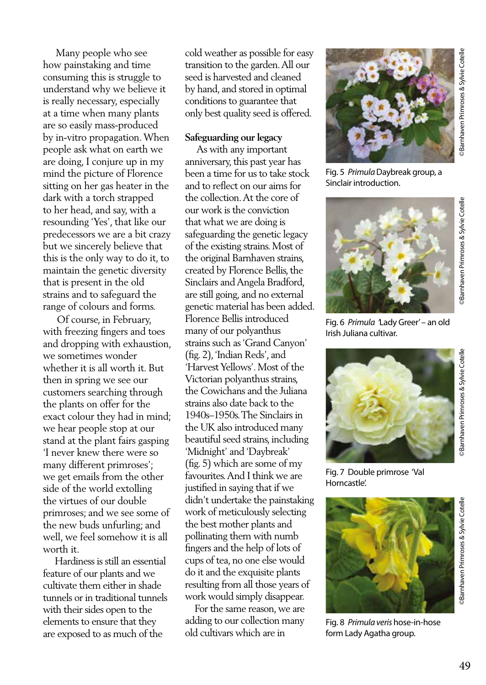Many people who see how painstaking and time consuming this is struggle to understand why we believe it is really necessary, especially at a time when many plants are so easily mass-produced by in-vitro propagation. When people ask what on earth we are doing, I conjure up in my mind the picture of Florence sitting on her gas heater in the dark with a torch strapped to her head, and say, with a resounding 'Yes', that like our predecessors we are a bit crazy but we sincerely believe that this is the only way to do it, to maintain the genetic diversity that is present in the old strains and to safeguard the range of colours and forms.

 Of course, in February, with freezing fingers and toes and dropping with exhaustion, we sometimes wonder whether it is all worth it. But then in spring we see our customers searching through the plants on offer for the exact colour they had in mind; we hear people stop at our stand at the plant fairs gasping 'I never knew there were so many different primroses'; we get emails from the other side of the world extolling the virtues of our double primroses; and we see some of the new buds unfurling; and well, we feel somehow it is all worth it.

 Hardiness is still an essential feature of our plants and we cultivate them either in shade tunnels or in traditional tunnels with their sides open to the elements to ensure that they are exposed to as much of the

cold weather as possible for easy transition to the garden. All our seed is harvested and cleaned by hand, and stored in optimal conditions to guarantee that only best quality seed is offered.

### **Safeguarding our legacy**

 As with any important anniversary, this past year has been a time for us to take stock and to reflect on our aims for the collection. At the core of our work is the conviction that what we are doing is safeguarding the genetic legacy of the existing strains. Most of the original Barnhaven strains, created by Florence Bellis, the Sinclairs and Angela Bradford, are still going, and no external genetic material has been added. Florence Bellis introduced many of our polyanthus strains such as 'Grand Canyon' (fig. 2), 'Indian Reds', and 'Harvest Yellows'. Most of the Victorian polyanthus strains, the Cowichans and the Juliana strains also date back to the 1940s–1950s. The Sinclairs in the UK also introduced many beautiful seed strains, including 'Midnight' and 'Daybreak' (fig. 5) which are some of my favourites. And I think we are justified in saying that if we didn't undertake the painstaking work of meticulously selecting the best mother plants and pollinating them with numb fingers and the help of lots of cups of tea, no one else would do it and the exquisite plants resulting from all those years of work would simply disappear.

 For the same reason, we are adding to our collection many old cultivars which are in



©Barnhaven Primroses & Sylvie Cotelle Barnhaven Primroses & Sylvie Cotelle

Fig. 5 *Primula* Daybreak group, a Sinclair introduction.



**Bamhaven Primroses & Sylvie Cotelle** ©Barnhaven Primroses & Sylvie Cotelle

Fig. 6 *Primula '*Lady Greer' – an old Irish Juliana cultivar.



Fig. 7 Double primrose 'Val Horncastle'.



Fig. 8 *Primula veris* hose-in-hose form Lady Agatha group.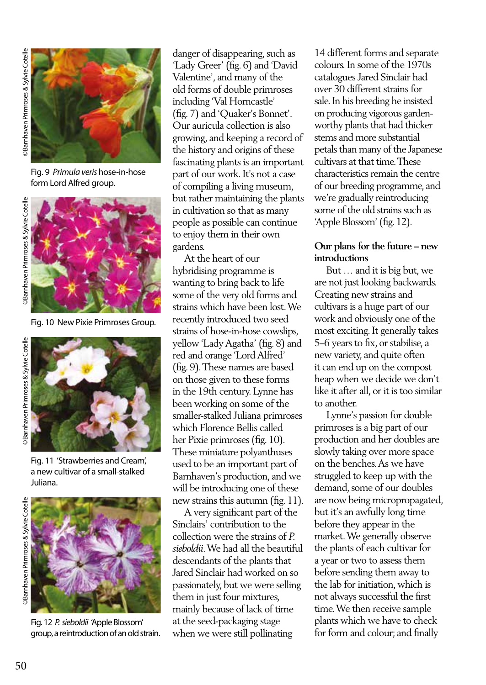

Fig. 9 *Primula veris* hose-in-hose form Lord Alfred group.





Fig. 10 New Pixie Primroses Group.



Fig. 11 'Strawberries and Cream', a new cultivar of a small-stalked Juliana.



Fig. 12 *P. sieboldii '*Apple Blossom' group, a reintroduction of an old strain.

danger of disappearing, such as 'Lady Greer' (fig. 6) and 'David Valentine', and many of the old forms of double primroses including 'Val Horncastle' (fig. 7) and 'Quaker's Bonnet'. Our auricula collection is also growing, and keeping a record of the history and origins of these fascinating plants is an important part of our work. It's not a case of compiling a living museum, but rather maintaining the plants in cultivation so that as many people as possible can continue to enjoy them in their own gardens.

 At the heart of our hybridising programme is wanting to bring back to life some of the very old forms and strains which have been lost. We recently introduced two seed strains of hose-in-hose cowslips, yellow 'Lady Agatha' (fig. 8) and red and orange 'Lord Alfred' (fig. 9). These names are based on those given to these forms in the 19th century. Lynne has been working on some of the smaller-stalked Juliana primroses which Florence Bellis called her Pixie primroses (fig. 10). These miniature polyanthuses used to be an important part of Barnhaven's production, and we will be introducing one of these new strains this autumn (fig. 11).

 A very significant part of the Sinclairs' contribution to the collection were the strains of *P. sieboldii*. We had all the beautiful descendants of the plants that Jared Sinclair had worked on so passionately, but we were selling them in just four mixtures, mainly because of lack of time at the seed-packaging stage when we were still pollinating

14 different forms and separate colours. In some of the 1970s catalogues Jared Sinclair had over 30 different strains for sale. In his breeding he insisted on producing vigorous gardenworthy plants that had thicker stems and more substantial petals than many of the Japanese cultivars at that time. These characteristics remain the centre of our breeding programme, and we're gradually reintroducing some of the old strains such as 'Apple Blossom' (fig. 12).

### **Our plans for the future – new introductions**

 But … and it is big but, we are not just looking backwards. Creating new strains and cultivars is a huge part of our work and obviously one of the most exciting. It generally takes 5–6 years to fix, or stabilise, a new variety, and quite often it can end up on the compost heap when we decide we don't like it after all, or it is too similar to another.

 Lynne's passion for double primroses is a big part of our production and her doubles are slowly taking over more space on the benches. As we have struggled to keep up with the demand, some of our doubles are now being micropropagated, but it's an awfully long time before they appear in the market. We generally observe the plants of each cultivar for a year or two to assess them before sending them away to the lab for initiation, which is not always successful the first time. We then receive sample plants which we have to check for form and colour; and finally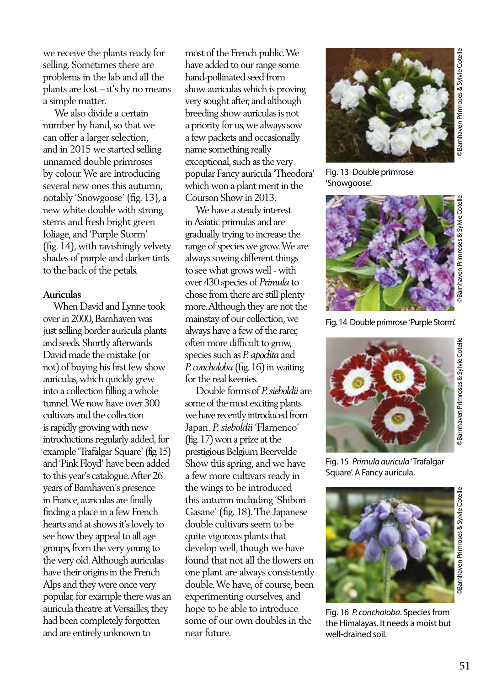we receive the plants ready for selling. Sometimes there are problems in the lab and all the plants are lost – it's by no means a simple matter.

 We also divide a certain number by hand, so that we can offer a larger selection, and in 2015 we started selling unnamed double primroses by colour. We are introducing several new ones this autumn, notably 'Snowgoose' (fig. 13), a new white double with strong stems and fresh bright green foliage, and 'Purple Storm' (fig. 14), with ravishingly velvety shades of purple and darker tints to the back of the petals.

#### **Auriculas**

 When David and Lynne took over in 2000, Barnhaven was just selling border auricula plants and seeds. Shortly afterwards David made the mistake (or not) of buying his first few show auriculas, which quickly grew into a collection filling a whole tunnel. We now have over 300 cultivars and the collection is rapidly growing with new introductions regularly added, for example 'Trafalgar Square' (fig. 15) and 'Pink Floyd' have been added to this year's catalogue. After 26 years of Barnhaven's presence in France, auriculas are finally finding a place in a few French hearts and at shows it's lovely to see how they appeal to all age groups, from the very young to the very old. Although auriculas have their origins in the French Alps and they were once very popular, for example there was an auricula theatre at Versailles, they had been completely forgotten and are entirely unknown to

most of the French public. We have added to our range some hand-pollinated seed from show auriculas which is proving very sought after, and although breeding show auriculas is not a priority for us, we always sow a few packets and occasionally name something really exceptional, such as the very popular Fancy auricula 'Theodora' which won a plant merit in the Courson Show in 2013.

 We have a steady interest in Asiatic primulas and are gradually trying to increase the range of species we grow. We are always sowing different things to see what grows well - with over 430 species of *Primula* to chose from there are still plenty more. Although they are not the mainstay of our collection, we always have a few of the rarer, often more difficult to grow, species such as *P. apoclita* and *P. concholoba* (fig. 16) in waiting for the real keenies.

 Double forms of *P. sieboldii* are some of the most exciting plants we have recently introduced from Japan. *P. sieboldii* 'Flamenco' (fig. 17) won a prize at the prestigious Belgium Beervelde Show this spring, and we have a few more cultivars ready in the wings to be introduced this autumn including 'Shibori Gasane' (fig. 18). The Japanese double cultivars seem to be quite vigorous plants that develop well, though we have found that not all the flowers on one plant are always consistently double. We have, of course, been experimenting ourselves, and hope to be able to introduce some of our own doubles in the near future.



Fig. 13 Double primrose 'Snowgoose'.



Fig. 14 Double primrose 'Purple Storm'.



Fig. 15 *Primula auricula* 'Trafalgar Square'. A Fancy auricula.



Fig. 16 *P. concholoba*. Species from the Himalayas. It needs a moist but well-drained soil.